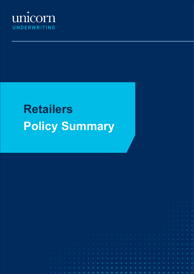

# **Retailers Policy Summary**

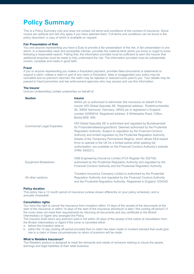# **Policy Summary**

This is a Policy Summary only and does not contain full terms and conditions of the contract of insurance. Some covers are optional and will only apply if you have selected them. Full terms and conditions can be found in the policy document, a copy of which is available on request.

#### **Fair Presentation of Risk**

You and anyone representing you have a Duty to provide a fair presentation of the risk. A fair presentation is one which, in a reasonably clear and accessible manner, provides the material facts which you know or ought to know following a reasonable search. Failing that, the information provided must be sufficient to warn the Insurer that additional enquiries must be made to fully understand the risk. The information provided must be substantially correct, complete and made in good faith.

#### **Fraud**

If you or anyone representing you makes a fraudulent payment, provides false documents or statements to support a claim, makes a claim or part of any claim is fraudulent, false or exaggerated your policy may be cancelled and no premium returned, the claim may be rejected or reduced sums paid to you. Your details may be passed to fraud prevention and law enforcement agencies who may access and use this information.

#### **The Insurer**

Unicorn Underwriting Limited underwrites on behalf of:

| <b>Section</b>                   | <b>Insurer</b><br>ARAG plc is authorised to administer this insurance on behalf of the<br>insurer HDI Global Specialty SE. Registered address: Roderbruchstraße<br>26, 30655 Hannover, Germany. ARAG plc is registered in England<br>number 02585818. Registered address: 9 Whiteladies Road, Clifton,<br>Bristol BS8 1NN.                                                                                                                                                                                                                      |
|----------------------------------|-------------------------------------------------------------------------------------------------------------------------------------------------------------------------------------------------------------------------------------------------------------------------------------------------------------------------------------------------------------------------------------------------------------------------------------------------------------------------------------------------------------------------------------------------|
| <b>Commercial Legal Expenses</b> | HDI Global Specialty SE is authorised and regulated by Bundesanstalt<br>für Finanzdienstleistungsaufsicht. Deemed authorised by the Prudential<br>Regulation Authority. Subject to regulation by the Financial Conduct<br>Authority and limited regulation by the Prudential Regulation Authority.<br>Details of the Temporary Permissions Regime, which allows EEA-based<br>firms to operate in the UK for a limited period while seeking full<br>authorisation, are available on the Financial Conduct Authority's website.<br>(FRN: 659331). |
| Equipment Breakdown              | HSB Engineering Insurance Limited (FCA Register No 202738)<br>authorised by the Prudential Regulation Authority and regulated by the<br>Financial Conduct Authority and the Prudential Regulation Authority                                                                                                                                                                                                                                                                                                                                     |
| All other sections               | Travelers Insurance Company Limited is authorised by the Prudential<br>Regulation Authority and regulated by the Financial Conduct Authority<br>and the Prudential Regulation Authority. Registered in England 1034343                                                                                                                                                                                                                                                                                                                          |

#### **Policy duration**

This policy has a 12 month period of insurance (unless shown differently on your policy schedule), and is annually renewable.

#### **Cancellation rights**

You have the right to cancel the insurance from inception within 14 days of the receipt of the documents at the start of the insurance or within 14 days of the start of the insurance whichever is later ("the cooling off period") if the cover does not meet their requirements by returning all documents and any certificate to the Broker Intermediary or Agent who arranged the Policy

The Insurers shall return any premium paid in full within 30 days of the receipt of the notice of cancellation from the Broker Intermediary or Agent if the cover is cancelled either

a. before the inception date or

b. within the 14 day cooling off period provided that no claim has been made or incident advised that could give rise to a claim in these circumstances no return of premium will be made

#### **What is Retailers Insurance?**

The Retailers product is designed to meet the demands and needs of someone wishing to insure the assets, earnings and legal liabilities of their retail business.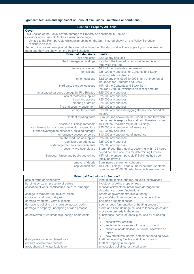# **Significant features and significant or unusual exclusions, limitations or conditions**

# **Section 1 Property All Risks**

**Cover** This Section of the Policy covers damage to Property as described in Section 1 Cover includes Loss of Rent as a result of damage.

 - Limited to the Rent payable whilst uninhabitable / the Sum Insured shown on the Policy Schedule whichever is less

Some of the covers are optional, they are not included as Standard and will only apply if you have selected them and they are shown on the Policy Schedule.

| <b>Principal Extensions</b>                        | <b>Limits</b>                                        |
|----------------------------------------------------|------------------------------------------------------|
| keys and locks                                     | £2,500 any one loss                                  |
| theft damage to buildings                          | for which the Insured is responsible and is not      |
|                                                    | otherwise insured                                    |
| temporary removal                                  | 10% of the Contents sum insured                      |
| exhibitions                                        | £25,000 any one loss for Contents and Stock          |
|                                                    | including whilst in transit                          |
| other locations                                    | £2,500 any one loss/£10,000 in any one period of     |
|                                                    | insurance for Contents and Stock                     |
| third party storage locations                      | 10% of the Contents and Stock Sum                    |
|                                                    | Insured/£250,000 whichever is lesser amount          |
| landscaped gardens damage by Fire Brigade          | £25,000 any one loss                                 |
| loss of metered supplies                           | £25,000 any one loss                                 |
| trace and access                                   | £25,000 any one loss                                 |
| clearing of drains                                 | £25,000 any one loss                                 |
| fire and security equipment                        | £25,000 any one loss                                 |
| computer records                                   | £10,000 any one loss/aggregate any one period of     |
|                                                    | insured                                              |
| theft of building parts                            | Sum Insured shown on the Schedule and for which      |
|                                                    | the Insured is responsible and not otherwise insured |
| obsolete buildings materials                       | 10% of the Declared Value of Buildings               |
| loss minimisation costs and prevention expenditure | £25,000 any one period of insurance                  |
| further investigation expenses, building damage    | £5,000 any one loss                                  |
| emergency access by police                         | £10,000 any one period of insurance                  |
| unauthorised use of supplies                       | £25,000 any one loss                                 |
| sprinkler upgrade costs                            | £25,000 any one claim                                |
| undamaged tenants improvements                     | £25,000 any one loss                                 |
| seventy two hour clause                            | Storm, Flood, Earthquake: occurring within 72 hours  |
|                                                    | period deemed one loss for determining Excess        |
| European Union and public authorities              | 15% of the amount payable if Buildings had been      |
|                                                    | totally destroyed                                    |
| removal of debris                                  | Sum insured shown on schedule                        |
| capital additions                                  | 10% of Buildings, Tenants Improvements, Contents     |
|                                                    | Sum Insured/£500,000 whichever is lesser amount      |

| <b>Principal Exclusions to Section 1</b>          |                                                      |
|---------------------------------------------------|------------------------------------------------------|
| acts of fraud or dishonesty                       | land, piers, jetties, bridges, culverts, excavations |
| bursting by steam pressure of boilers             | livestock, growing crops or trees                    |
| cessation of work, confiscation, seizure, embargo | mechanical/electrical breakdown/derangement/         |
|                                                   | disturbance, power fluctuations                      |
| change in temperature, texture, finish            | orders of government/public authority                |
| corrosion, rust, wet or dry rot                   | property/structures under construction/erection      |
| damage by animal, vermin, insects                 | pollution or contamination                           |
| damage to building by its own collapse/cracking   | spontaneous fermentation or heating process          |
| damage to property undergoing a trade process     | storm and flood damage caused to fences, gates and   |
|                                                   | moveable property in the open                        |
| defective/faulty workmanship, design or materials | subsidence, heave or landslip caused by or arising   |
|                                                   | from:                                                |
|                                                   | coastal/river erosion                                |
|                                                   | settlement/movement of made up ground                |
|                                                   | construction/demolition, structural alteration or    |
|                                                   | repair                                               |
|                                                   | new structures; normal settlement/bedding down       |
| disappearance, unexplained loss                   | theft not involving forcible and violent means       |
| erasure of electronic records                     | theft of property in the open                        |
| frost, change in water table level                | unoccupied building; restricted cover                |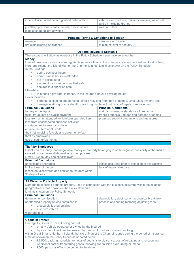| inherent vice, latent defect, gradual deterioration | vehicles for road use, trailers, caravans, watercraft,<br>aircraft including drones |
|-----------------------------------------------------|-------------------------------------------------------------------------------------|
| jewellery, precious stones, metals, bullion or furs | wear and tear                                                                       |
| joint leakage, failure of welds                     |                                                                                     |

|                                                                                                               | <b>Principal Terms &amp; Conditions to Section 1</b>                                                           |
|---------------------------------------------------------------------------------------------------------------|----------------------------------------------------------------------------------------------------------------|
| average                                                                                                       | intruder alarm system                                                                                          |
| fire extinguishing appliances                                                                                 | minimum level of security                                                                                      |
|                                                                                                               |                                                                                                                |
|                                                                                                               | <b>Optional covers to Section 1</b>                                                                            |
| These covers will show as operative in the Policy Schedule if you have selected then                          |                                                                                                                |
| <b>Money</b>                                                                                                  |                                                                                                                |
| Loss of business money or non-negotiable money either on the premises or elsewhere within Great Britain,      |                                                                                                                |
| Northern Ireland, the Isle of Man or the Channel Islands. Limits as shown on the Policy Schedule.             |                                                                                                                |
| In the Buildings                                                                                              |                                                                                                                |
| during business hours<br>$\bullet$                                                                            |                                                                                                                |
| non-business hours/unattended                                                                                 |                                                                                                                |
| not in locked safe                                                                                            |                                                                                                                |
| secured in a locked unspecified safe                                                                          |                                                                                                                |
| secured in a specified safe<br>۰                                                                              |                                                                                                                |
| Elsewhere                                                                                                     |                                                                                                                |
| in a bank night safe, in transit, in the insured's private dwelling house<br>٠                                |                                                                                                                |
| Cover includes                                                                                                |                                                                                                                |
|                                                                                                               | damage to clothing and personal effects resulting from theft of money. Limit: £500 any one loss                |
| damage to strongroom, safe, till or franking machine. Limit: cost of repair or replacement                    |                                                                                                                |
| <b>Principal Exclusions</b>                                                                                   | <b>Principal Conditions</b>                                                                                    |
| forgery or deception                                                                                          | maintain minimum standards of precaution                                                                       |
| false, fraudulent or invalid payment                                                                          | transit protocols - routes and persons attending                                                               |
| loss from an unattended vehicle/coin operated item                                                            | premises security precautions and measures                                                                     |
| loss from unconnected business activities                                                                     |                                                                                                                |
| shortage due to error or omission                                                                             |                                                                                                                |
| outside the Territorial Limits                                                                                |                                                                                                                |
| theft not involving forcible and violent entry/exit                                                           |                                                                                                                |
| theft by employees                                                                                            |                                                                                                                |
| use of counterfeit money                                                                                      |                                                                                                                |
|                                                                                                               |                                                                                                                |
| <b>Theft by Employees</b>                                                                                     | Direct loss of money, non-negotiable money or property belonging to or the legal responsibility of the Insured |
| caused by fraudulent/dishonest acts of employees.                                                             |                                                                                                                |
| Limit £10,0000 any one specific event                                                                         |                                                                                                                |
| <b>Principal Exclusions</b>                                                                                   |                                                                                                                |
| unexplained shortages                                                                                         | losses occurring prior to inception of this Section                                                            |
| indirect loss of money                                                                                        | lack of reasonable care                                                                                        |
| losses not discovered and notified to Insurers within                                                         |                                                                                                                |
| 30 days of loss                                                                                               |                                                                                                                |
|                                                                                                               |                                                                                                                |
| <b>All Risks on Portable Property</b>                                                                         |                                                                                                                |
| Damage to specified portable property used in connection with the business occurring within the selected      |                                                                                                                |
| geographical areas shown on the Policy Schedule                                                               |                                                                                                                |
| Limit as shown on the Policy Schedule                                                                         |                                                                                                                |
| <b>Principal Exclusions</b>                                                                                   |                                                                                                                |
| detention or confiscation                                                                                     | depreciation, electrical or mechanical breakdown                                                               |
| unattended property unless contained in                                                                       | process of cleaning restoring adjusting repair                                                                 |
| a securely locked building                                                                                    |                                                                                                                |
| a secure vehicle                                                                                              |                                                                                                                |
| wear and tear                                                                                                 |                                                                                                                |
|                                                                                                               |                                                                                                                |
| <b>Goods in Transit</b>                                                                                       |                                                                                                                |
| Damage to Goods in Transit being carried                                                                      |                                                                                                                |
| on any Vehicle operated or owned by the Insured                                                               |                                                                                                                |
| by a carrier other than the Insured by means of road, rail or inland air freight                              |                                                                                                                |
| within Great Britain, Northern Ireland, the Isle of Man or the Channel Islands during the period of insurance |                                                                                                                |
| Limit as shown on the Policy Schedule or noted below:                                                         |                                                                                                                |
|                                                                                                               | £2,500: packing materials, removal of debris, site clearance, cost of reloading and re-securing.               |
| Additional cost of transferring goods following fire collision overturning or impact.                         |                                                                                                                |

• £500: personal effects belonging to the driver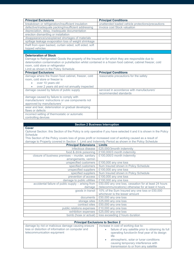| <b>Principal Exclusions</b>                                                                                  | <b>Principal Conditions</b>                       |
|--------------------------------------------------------------------------------------------------------------|---------------------------------------------------|
| breakdown or refrigeration/insufficient insulation                                                           | unattended loaded vehicle protections/precautions |
| defective/inadequate packing/insufficient addressing                                                         | invoice cost Stock valuation                      |
| depreciation, delay, inadequate documentation                                                                |                                                   |
| erection dismantling or installation                                                                         |                                                   |
| disappearance/unexplained shortages of materials                                                             |                                                   |
| spillage leakage evaporation loss of weight shrinkage                                                        |                                                   |
| theft from open backed, curtain sided, soft sided, soft                                                      |                                                   |
| topped vehicles                                                                                              |                                                   |
|                                                                                                              |                                                   |
| <b>Deterioration of Stock</b>                                                                                |                                                   |
| Damage to Refrigerated Goods the property of the Insured or for which they are responsible due to            |                                                   |
| deterioration contamination or putrefaction whilst contained in a frozen food cabinet, cabinet freezer, cold |                                                   |
| room, cold store or refrigerator                                                                             |                                                   |
| Limit as shown in the Policy Schedule                                                                        |                                                   |
| <b>Principal Exclusions</b>                                                                                  | <b>Principal Conditions</b>                       |
| damage where the frozen food cabinet, freezer, cold                                                          | reasonable precautions for the safety             |
| room, cold store or freezer is                                                                               |                                                   |
|                                                                                                              |                                                   |
| over 10 years old                                                                                            |                                                   |
| over 2 years old and not annually inspected                                                                  |                                                   |
| damage caused by failure of public supply                                                                    | serviced in accordance with manufacturers'        |
|                                                                                                              | recommended standards                             |
| damage caused by failure to comply with                                                                      |                                                   |
| manufacturers' instructions or use components not                                                            |                                                   |
| approved by manufacturers'                                                                                   |                                                   |
| wear and tear, deterioration or gradual developing                                                           |                                                   |
| flaws or defects                                                                                             |                                                   |
| incorrect setting of thermostatic or automatic                                                               |                                                   |
| controlling devices                                                                                          |                                                   |

### **Section 2 Business Interruption**

# **Cover**

Optional Section: this Section of the Policy is only operative if you have selected it and it is shown in the Policy Schedule

This Section of the Policy covers loss of gross profit or increased cost of working caused as a result of damage to Property covered in Section 1. Limit and Indemnity Period as shown in the Policy Schedule

| <b>Principal Extensions</b>                        | Limits                                                |
|----------------------------------------------------|-------------------------------------------------------|
| infectious disease                                 | £25,000/3month indemnity                              |
| food & drink poisoning                             | £100,000/3 month indemnity                            |
| closure of business premises - murder, sanitary    | £100,000/3 month indemnity                            |
| arrangements, vermin                               |                                                       |
| unspecified customers                              | £100,000 any one loss                                 |
| specified customers                                | Sum Insured shown in Policy Schedule                  |
| unspecified suppliers                              | £100,000 any one loss                                 |
| specified suppliers                                | Sum Insured shown in Policy Schedule                  |
| prevention of access                               | £100,000 any one loss                                 |
| damage to public utilities                         | £100,000 any one loss                                 |
| accidental failure of public supply – arising from | £50,000 any one loss, cessation for at least 24 hours |
| damage                                             | (telecommunications) otherwise for at least 4 hours   |
| goods in transit                                   | 10% of the Sum Insured any one loss or £50,000        |
|                                                    | whichever is the lesser amount                        |
| documents                                          | £50,000 any one loss                                  |
| storage sites                                      | £25,000 any one loss                                  |
| contract sites                                     | £50,000 any one loss                                  |
| public relations expenses                          | £10,000 any one loss                                  |
| exhibition expenses                                | £25,000 any one loss                                  |
| bomb (hoax or actual)                              | loss exceeding 2 hours duration                       |

| <b>Principal Exclusions to Section 2</b>                                                                                               |                                                                                                                                                                                                              |
|----------------------------------------------------------------------------------------------------------------------------------------|--------------------------------------------------------------------------------------------------------------------------------------------------------------------------------------------------------------|
| damage by riot or malicious damage causing erasure<br>loss or distortion of information on computer and<br>telecommunication equipment | increase in cost of working due to:<br>failure of any satellite prior to obtaining its full<br>$\bullet$<br>operating function/in final year of its design<br>life<br>atmospheric, solar or lunar conditions |
|                                                                                                                                        | causing temporary interference with<br>transmission to or from any satellite                                                                                                                                 |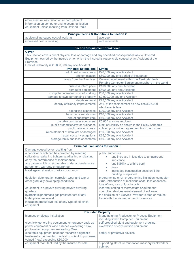| other erasure loss distortion or corruption of                                                      |                                                      |
|-----------------------------------------------------------------------------------------------------|------------------------------------------------------|
| information on computer and telecommunication                                                       |                                                      |
| equipment unless resulting from Defined Perils                                                      |                                                      |
|                                                                                                     |                                                      |
|                                                                                                     | <b>Principal Terms &amp; Conditions to Section 2</b> |
| additional increased cost of working                                                                | average                                              |
| increased cost of working                                                                           | rent receivable                                      |
|                                                                                                     |                                                      |
|                                                                                                     | <b>Section 3 Equipment Breakdown</b>                 |
| <b>Cover</b>                                                                                        |                                                      |
| This Section covers direct physical loss or damage and any specified consequential loss to Covered  |                                                      |
| Equipment owned by the Insured or for which the Insured is responsible caused by an Accident at the |                                                      |
| Premises                                                                                            |                                                      |
| Limit of Indemnity is £5,000,000 any one Accident                                                   |                                                      |
| <b>Principal Extensions</b>                                                                         | <b>Limits</b>                                        |
| additional access costs                                                                             | £20,000 any one Accident                             |
| anchor location                                                                                     | £50,000 any one period of insurance                  |
| away from the Premises                                                                              | Covered equipment within the Territorial limits.     |
|                                                                                                     | Portable Computer Equipment anywhere in the world    |
| business interruption                                                                               | £100,000 any one Accident                            |
| computer equipment                                                                                  | £500,000 any one Accident                            |
| computer increased cost of working                                                                  | £50,000 any one Accident                             |
| damage to own surrounding property                                                                  | £2,000,000 any one Accident                          |
| debris removal                                                                                      | £25,000 any one Accident                             |
| energy efficiency improvements                                                                      | 25% of the replacement as new cost/£25,000           |
|                                                                                                     | whichever is less                                    |
| expediting expenses                                                                                 | £20,000 any one Accident                             |
| hazardous substances                                                                                | £10,000 any one Accident                             |
| hire of substitute item                                                                             | £10,000 any one Accident                             |
| portable computer equipment                                                                         | £5,000 any one Accident                              |
| public authorities/law or ordinance                                                                 | Limit of Liability as shown in the Policy Schedule   |
| public relations costs                                                                              | subject prior written agreement from the Insurer     |
| reinstatement of data lost or damaged                                                               | £50,000 any one Accident                             |
| repair costs investigations                                                                         | £25,000 any one Accident                             |
| storage tanks and loss of contents                                                                  | £10,000 any one Accident                             |

# **Principal Exclusions to Section 3**

| Damage caused by or resulting from                                                                                                                                                                                                           |                                                                                                                                                     |
|----------------------------------------------------------------------------------------------------------------------------------------------------------------------------------------------------------------------------------------------|-----------------------------------------------------------------------------------------------------------------------------------------------------|
| a condition which can be corrected by resetting<br>calibrating realigning tightening adjusting or cleaning<br>or by the performance of maintenance<br>any cause which is recoverable under a maintenance<br>agreement, warranty or guarantee | public authorities<br>any increase in loss due to a hazardous<br>substance<br>any liability to a third party<br>$\bullet$<br>fines                  |
| breakage or abrasion of wires or strands                                                                                                                                                                                                     | increased construction costs until the<br>$\bullet$<br>building is replaced                                                                         |
| depletion deterioration corrosion wear and tear or<br>other gradually developing conditions                                                                                                                                                  | programming error, programming limitation, computer<br>virus, introduction of malicious code, loss of access,<br>loss of use, loss of functionality |
| equipment in a private dwelling/private dwelling<br>quarters                                                                                                                                                                                 | incorrect setting of thermostats or automatic<br>controlling devices reinstatement of software                                                      |
| hydrostatic pneumatic gas pressure test of any<br>boiler/pressure vessel                                                                                                                                                                     | the decision of a Service Provider to stop or reduce<br>trade with the Insured or restrict services                                                 |
| insulation breakdown test of any type of electrical<br>equipment                                                                                                                                                                             |                                                                                                                                                     |

| <b>Excluded Property</b>                               |                                                      |
|--------------------------------------------------------|------------------------------------------------------|
| biomass or biogas installation                         | Manufacturing Production or Process Equipment        |
|                                                        | including linked Computer Equipment                  |
| electricity generating equipment, emergency back-up    | self-propelled plant and equipment dragline          |
| power equipment or wind turbines exceeding 10kw,       | excavation or construction equipment                 |
| photovoltaic equipment exceeding 50kw                  |                                                      |
| electronic equipment used for research diagnostic      | safety or protective devices                         |
| treatment experimental, medical or scientific purposes |                                                      |
| valued (new) exceeding £30,000                         |                                                      |
| equipment manufactured by the Insured for sale         | supporting structure foundation masonry brickwork or |
|                                                        | cabinet                                              |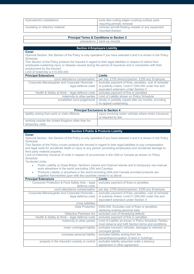| Hydroelectric installations      | tools dies cutting edges crushing surface parts<br>requiring periodic renewal |
|----------------------------------|-------------------------------------------------------------------------------|
| insulating or refactory material | vehicles aircraft floating vessels or any equipment<br>mounted thereon        |

#### **Principal Terms & Conditions to Section 3**

precautions back-up records

#### **Section 4 Employers Liability**

#### **Cover**

Optional Section: this Section of the Policy is only operative if you have selected it and it is shown in the Policy **Schedule** 

This Section of the Policy protects the Insured in regard to their legal liabilities in respect of claims from employees sustaining injury or disease caused during the period of insurance and in connection with their employment by the Insured.

Limit of Indemnity is £10,000,000

| <b>Principal Extensions</b>                                            | <b>Limits</b>                                                                                                                                          |
|------------------------------------------------------------------------|--------------------------------------------------------------------------------------------------------------------------------------------------------|
| court attendance compensation                                          | per day: £750 director/partner, £250 any Employee                                                                                                      |
| Corporate Manslaughter and Corporate Homicide -<br>legal defence costs | excludes payment of fines, penalties, cost of remedial<br>or publicity orders. Limit £1,000,000 under this and<br>equivalent extension under Section 5 |
| Health & Safety at Work – legal defence costs                          | excludes payment of fine or penalties                                                                                                                  |
| indemnity to other parties                                             | Limit of Liability shown on Policy Schedule                                                                                                            |
| unsatisfied court judgements                                           | wholly or partially unpaid after six months, providing<br>no appeal outstanding                                                                        |

| <b>Principal Exclusions to Section 4</b>                              |                                                                             |  |  |
|-----------------------------------------------------------------------|-----------------------------------------------------------------------------|--|--|
| liability arising from work or visits offshore                        | injury involving motor vehicles where motor insurance<br>is required by law |  |  |
| working outside the United Kingdom other than for<br>temporary visits |                                                                             |  |  |

#### **Section 5 Public & Products Liability**

#### **Cover**

Optional Section: this Section of the Policy is only operative if you have selected it and it is shown in the Policy **Schedule** 

This Section of the Policy covers protects the Insured in regard to their legal liabilities to pay compensation and legal costs for accidental death or injury to any person (excluding employees) and accidental damage to third party material property.

Limit of Indemnity inclusive of costs in respect of occurrences in the USA or Canada as shown on Policy **Schedule** 

Territorial Limits:

- Public Liability a) Great Britain, Northern Ireland and Channel Islands and b) temporary non-manual work elsewhere in the world (excluding USA and Canada)
- Products Liability c) anywhere in the world excluding USA and Canada provided products are supplied from/worked upon with the countries named in a) above

| <b>Principal Extensions</b>                     | Limits                                                  |
|-------------------------------------------------|---------------------------------------------------------|
| Consumer Protection & Food Safety Acts - legal  | excludes payment of fines or penalties                  |
| defence costs                                   |                                                         |
| court attendance compensation                   | per day: £750 director/partner, £250 any Employee       |
| Corporate Manslaughter and Corporate Homicide - | excludes payment of fines, penalties, cost of remedial  |
| legal defence costs                             | or publicity orders. Limit £1,000,000 under this and    |
|                                                 | equivalent extension under Section 4                    |
| cross liabilities                               |                                                         |
| Data Protection                                 | £500,000. Excludes cost of fines or penalties,          |
|                                                 | replacing erasing personal data                         |
| Defective Premises Act                          | excludes cost of remedying defects                      |
| Health & Safety at Work – legal defence costs   | excludes payment of fine or penalties                   |
| indemnity to other parties                      | Limit of Liability as shown in Policy Schedule. Parties |
|                                                 | must observe and fulfil Section terms and conditions    |
| motor contingent liability                      | excludes insured's vehicles, damages to vehicles or     |
|                                                 | conveyed goods                                          |
| overseas personal liability                     | excludes liability arising from the                     |
|                                                 | ownership/occupation of land or buildings               |
| property in the Insured's custody or control    | excludes liability assumed under a tenancy              |
|                                                 | agreement or other agreement                            |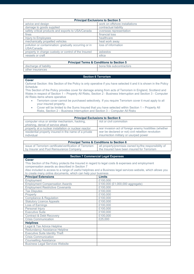| <b>Principal Exclusions to Section 5</b>              |                                |  |  |
|-------------------------------------------------------|--------------------------------|--|--|
| advice and design                                     | work on offshore installations |  |  |
| damage to goods supplied                              | contractual liability          |  |  |
| safety critical products and exports to USA/Canada    | overseas representation        |  |  |
| fines                                                 | financial loss                 |  |  |
| Injury to Employees                                   | healthcare                     |  |  |
| mechanically propelled vehicles                       | heat work away                 |  |  |
| pollution or contamination: gradually occurring or in | loss of information            |  |  |
| USA/Canada                                            |                                |  |  |
| property in charge custody or control of the Insured  | asbestos                       |  |  |
| vessels or craft                                      | silica                         |  |  |

#### **Principal Terms & Conditions to Section 5**

discharge of liability discharge of liability

# other insurances

# **Section 6 Terrorism**

#### **Cover**

Optional Section: this Section of the Policy is only operative if you have selected it and it is shown in the Policy **Schedule** 

This Section of the Policy provides cover for damage arising from acts of Terrorism in England, Scotland and Wales in respect of Section 1 – Property All Risks, Section 2 - Business Interruption and Section 3 - Computer All Risks items where operative

- Terrorism cover cannot be purchased selectively. If you require Terrorism cover it must apply to all your insured property.
- Cover will be limited to the Sums Insured that you have selected within Section 1 Property All

|  |  | Risks, Section 2 – Business Interruption and Section 3 – Computer All Risks |  |  |  |  |  |
|--|--|-----------------------------------------------------------------------------|--|--|--|--|--|
|  |  |                                                                             |  |  |  |  |  |

| <b>Principal Exclusions to Section 6</b>              |                                                        |  |  |  |
|-------------------------------------------------------|--------------------------------------------------------|--|--|--|
| computer virus or similar mechanism, hacking,         | riot or civil commotion                                |  |  |  |
| phishing, denial of service attack                    |                                                        |  |  |  |
| property at a nuclear installation or nuclear reactor | war invasion act of foreign enemy hostilities (whether |  |  |  |
| residential property insured in the name of a private | war be declared or not) civil rebellion revolution     |  |  |  |
| individual                                            | insurrection military or usurped power                 |  |  |  |

| <b>Principal Terms &amp; Conditions to Section 6</b>     |                                                      |  |  |  |
|----------------------------------------------------------|------------------------------------------------------|--|--|--|
| issue of Terrorism certificate/verification of Terrorism | all property/premises owned by/the responsibility of |  |  |  |
| by Insurer and Pool Reinsurance Company                  | the Insured have been insured for Terrorism          |  |  |  |

# **Section 7 Commercial Legal Expenses**

#### **Cover**

This Section of the Policy protects the Insured in regard to legal costs & expenses and employment compensation awards as described in Section 7

Also included is access to a range of useful helplines and a Business legal services website, which allows you to create many online documents, which can help your business

| to diddito many dimito addamionto, mindii dan noip yoar badinood<br><b>Principal Extensions</b> | <b>Limits</b>                   |
|-------------------------------------------------------------------------------------------------|---------------------------------|
| Employment                                                                                      | £100,000                        |
| <b>Employment Compensation Awards</b>                                                           | £100,000 (£1,000,000 aggregate) |
| <b>Employment Restrictive Covenants</b>                                                         | £100,000                        |
| <b>Tax Disputes</b>                                                                             | £100,000                        |
| Property                                                                                        | £100,000                        |
| Compliance & Regulation                                                                         | £100,000                        |
| <b>Statutory Licence Appeals</b>                                                                | £100,000                        |
| Loss of Earnings                                                                                | £100,000                        |
| Personal Injury                                                                                 | £100,000                        |
| <b>Executive Suite</b>                                                                          | £100.000                        |
| <b>Contract &amp; Debt Recovery</b>                                                             | £100,000                        |
| <b>Crisis Communication</b>                                                                     | £25,000                         |
| <b>Helplines</b>                                                                                |                                 |
| Legal & Tax Advice Helpline                                                                     |                                 |
| Redundancy Assistance Helpline                                                                  |                                 |
| <b>Executive Suite Identity Theft</b>                                                           |                                 |
| <b>Crisis Communication</b>                                                                     |                                 |
| <b>Counselling Assistance</b>                                                                   |                                 |
| <b>Business Legal Services Website</b>                                                          |                                 |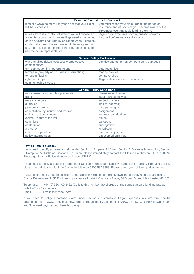| <b>Principal Exclusions to Section 7</b>                                                                                                                                   |                                                                                                                                                  |  |  |  |
|----------------------------------------------------------------------------------------------------------------------------------------------------------------------------|--------------------------------------------------------------------------------------------------------------------------------------------------|--|--|--|
| it must always be more likely than not that your claim<br>will be successful.                                                                                              | you must report your claim during the period of<br>insurance and as soon as you become aware of the<br>circumstances that could lead to a claim. |  |  |  |
| unless there is a conflict of interest we will choose an<br>appointed advisor until proceedings need to be issued<br>or in any claim dealt with by an Employment Tribunal. | legal costs, expenses or compensation awards<br>incurred before we accept a claim.                                                               |  |  |  |
| costs that exceed the sum we would have agreed to<br>pay a solicitor on our panel, if the insured chooses to<br>use their own representative                               |                                                                                                                                                  |  |  |  |

| <b>General Policy Exclusions</b>               |                                             |  |  |  |
|------------------------------------------------|---------------------------------------------|--|--|--|
| war and allied risks/dispossession/radioactive | punitive and other non-compensatory damages |  |  |  |
| contamination                                  |                                             |  |  |  |
| civil commotion in Northern Ireland            | date recognition                            |  |  |  |
| terrorism (property and business interruption) | marine policies                             |  |  |  |
| terrorism (liability)                          | computer virus                              |  |  |  |
| $cyber - third party$                          | illegal deliberate and criminal acts        |  |  |  |
| communicable disease                           |                                             |  |  |  |

| <b>General Policy Conditions</b>        |                       |  |  |  |
|-----------------------------------------|-----------------------|--|--|--|
| misrepresentation and fair presentation | observance of terms   |  |  |  |
| fraud                                   | legal representatives |  |  |  |
| reasonable care                         | subject to survey     |  |  |  |
| alteration                              | limit of indemnity    |  |  |  |
| payment of premium                      | third party rights    |  |  |  |
| cancellation, by Insured and Insurer    | assignment            |  |  |  |
| claims - action by Insured              | insureds contribution |  |  |  |
| claims - rights of Insurer              | abuse                 |  |  |  |
| conditions                              | sanctions             |  |  |  |
| contribution                            | subrogation           |  |  |  |
| arbitration                             | jurisdiction          |  |  |  |
| claims co-operation                     | premium adjustment    |  |  |  |
| policy interpretation                   | unoccupied buildings  |  |  |  |

#### **How do I make a claim?**

If you need to notify a potential claim under Section 1 Property All Risks, Section 2 Business Interruption, Section 3 Computer All Risks or Section 6 Terrorism please immediately contact the Claims Helpline on 01732 520273. Please quote your Policy Number and code UNIUW

If you need to notify a potential claim under Section 4 Employers Liability or Section 5 Public & Products Liability please immediately contact the Claims Helpline on 0800 587 8388. Please quote your Unicorn policy number.

If you need to notify a potential claim under Section 3 Equipment Breakdown immediately report your claim to Claims Department, HSB Engineering Insurance Limited, Chancery Place, 50 Brown Street, Manchester M2 2JT

Telephone: +44 (0) 330 100 3432 (Calls to this number are charged at the same standard landline rate as calls to 01 or 02 numbers.)

Email: [new.loss@hsbeil.com](mailto:new.loss@hsbeil.com)

If you need to notify a potential claim under Section 7 Commercial Legal Expenses, a claim form can be downloaded at www.arag.co.uk/newclaims or requested by telephoning ARAG on 0330 303 1955 between 9am and 5pm weekdays (except bank holidays).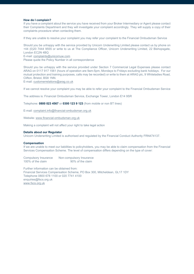#### **How do I complain?**

If you have a complaint about the service you have received from your Broker Intermediary or Agent please contact their Complaints Department and they will investigate your complaint accordingly. They will supply a copy of their complaints procedure when contacting them.

If they are unable to resolve your complaint you may refer your complaint to the Financial Ombudsman Service

Should you be unhappy with the service provided by Unicorn Underwriting Limited please contact us by phone on +44 (0)20 7444 9555 or write to us at The Compliance Officer, Unicorn Underwriting Limited, 22 Bishopsgate, London EC2N 4BQ E-mail[: complaints@unicornuw.com](mailto:complaints@unicornuw.com) Please quote the Policy Number in all correspondence

Should you be unhappy with the service provided under Section 7 Commercial Legal Expenses please contact ARAG on 0117 917 1561 (hours of operation are 9am-5pm, Mondays to Fridays excluding bank holidays. For our mutual protection and training purposes, calls may be recorded) or write to them at ARAG plc, 9 Whiteladies Road, Clifton, Bristol, BS8 1NN.

E-mail[: customerrelations@arag.co.uk](mailto:customerrelations@arag.co.uk)

If we cannot resolve your complaint you may be able to refer your complaint to the Financial Ombudsman Service

The address is: Financial Ombudsman Service, Exchange Tower, London E14 9SR

Telephone: **0800 023 4567** or **0300 123 9 123** (from mobile or non BT lines)

E-mail[: complaint.info@financial-ombudsman.org.uk](mailto:complaint.info@financial-ombudsman.org.uk)

Website[: www.financial-ombudsman.org.uk](http://www.financial-ombudsman.org.uk/)

Making a complaint will not affect your right to take legal action

#### **Details about our Regulator**

Unicorn Underwriting Limited is authorised and regulated by the Financial Conduct Authority FRN474137.

#### **Compensation**

If we are unable to meet our liabilities to policyholders, you may be able to claim compensation from the Financial Services Compensation Scheme. The level of compensation differs depending on the type of cover:

Compulsory Insurance Non-compulsory Insurance 100% of the claim 90% of the claim

Further information can be obtained from: Financial Services Compensation Scheme, PO Box 300, Mitcheldean, GL17 1DY Telephone 0800 678 1100 or 020 7741 4100 enquiries@fscs.org.uk [www.fscs.org.uk](http://www.fscs.org.uk/)